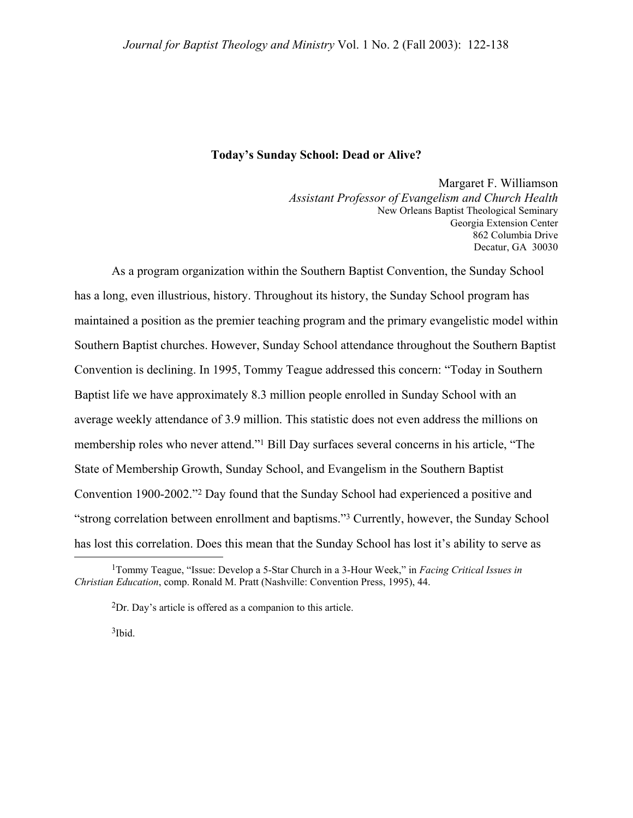#### **Today's Sunday School: Dead or Alive?**

Margaret F. Williamson *Assistant Professor of Evangelism and Church Health* New Orleans Baptist Theological Seminary Georgia Extension Center 862 Columbia Drive Decatur, GA 30030

 As a program organization within the Southern Baptist Convention, the Sunday School has a long, even illustrious, history. Throughout its history, the Sunday School program has maintained a position as the premier teaching program and the primary evangelistic model within Southern Baptist churches. However, Sunday School attendance throughout the Southern Baptist Convention is declining. In 1995, Tommy Teague addressed this concern: "Today in Southern Baptist life we have approximately 8.3 million people enrolled in Sunday School with an average weekly attendance of 3.9 million. This statistic does not even address the millions on membership roles who never attend."[1](#page-0-0) Bill Day surfaces several concerns in his article, "The State of Membership Growth, Sunday School, and Evangelism in the Southern Baptist Convention 1900-2002.["2](#page-0-1) Day found that the Sunday School had experienced a positive and "strong correlation between enrollment and baptisms."[3 C](#page-0-2)urrently, however, the Sunday School has lost this correlation. Does this mean that the Sunday School has lost it's ability to serve as

<span id="page-0-2"></span>3Ibid.

 <sup>1</sup>Tommy Teague, "Issue: Develop a 5-Star Church in a 3-Hour Week," in *Facing Critical Issues in Christian Education*, comp. Ronald M. Pratt (Nashville: Convention Press, 1995), 44.

<span id="page-0-1"></span><span id="page-0-0"></span><sup>2</sup>Dr. Day's article is offered as a companion to this article.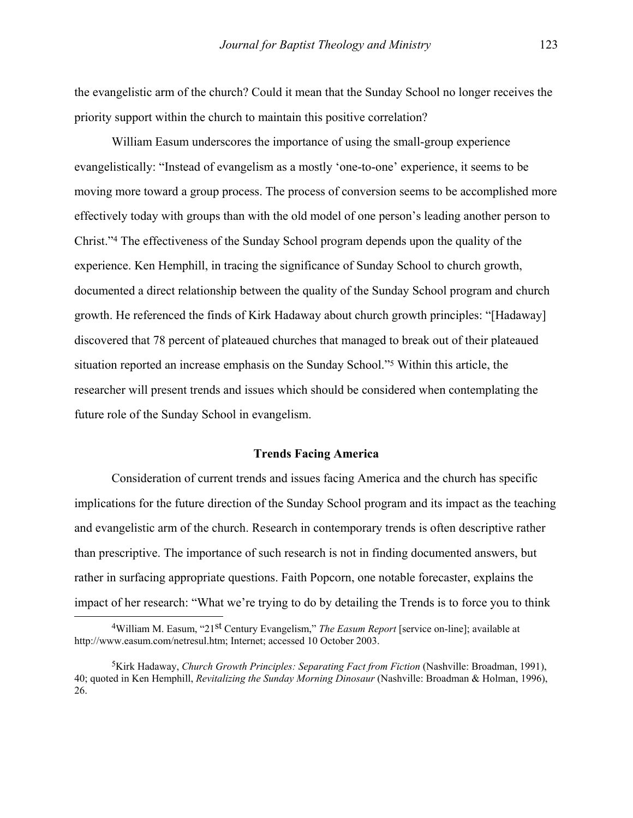the evangelistic arm of the church? Could it mean that the Sunday School no longer receives the priority support within the church to maintain this positive correlation?

 William Easum underscores the importance of using the small-group experience evangelistically: "Instead of evangelism as a mostly 'one-to-one' experience, it seems to be moving more toward a group process. The process of conversion seems to be accomplished more effectively today with groups than with the old model of one person's leading another person to Christ."[4](#page-1-0) The effectiveness of the Sunday School program depends upon the quality of the experience. Ken Hemphill, in tracing the significance of Sunday School to church growth, documented a direct relationship between the quality of the Sunday School program and church growth. He referenced the finds of Kirk Hadaway about church growth principles: "[Hadaway] discovered that 78 percent of plateaued churches that managed to break out of their plateaued situation reported an increase emphasis on the Sunday School.["5](#page-1-1) Within this article, the researcher will present trends and issues which should be considered when contemplating the future role of the Sunday School in evangelism.

#### **Trends Facing America**

 Consideration of current trends and issues facing America and the church has specific implications for the future direction of the Sunday School program and its impact as the teaching and evangelistic arm of the church. Research in contemporary trends is often descriptive rather than prescriptive. The importance of such research is not in finding documented answers, but rather in surfacing appropriate questions. Faith Popcorn, one notable forecaster, explains the impact of her research: "What we're trying to do by detailing the Trends is to force you to think

<span id="page-1-0"></span><sup>&</sup>lt;sup>4</sup>William M. Easum, "21<sup>st</sup> Century Evangelism," *The Easum Report* [service on-line]; available at http://www.easum.com/netresul.htm; Internet; accessed 10 October 2003.

<span id="page-1-1"></span><sup>5</sup>Kirk Hadaway, *Church Growth Principles: Separating Fact from Fiction* (Nashville: Broadman, 1991), 40; quoted in Ken Hemphill, *Revitalizing the Sunday Morning Dinosaur* (Nashville: Broadman & Holman, 1996), 26.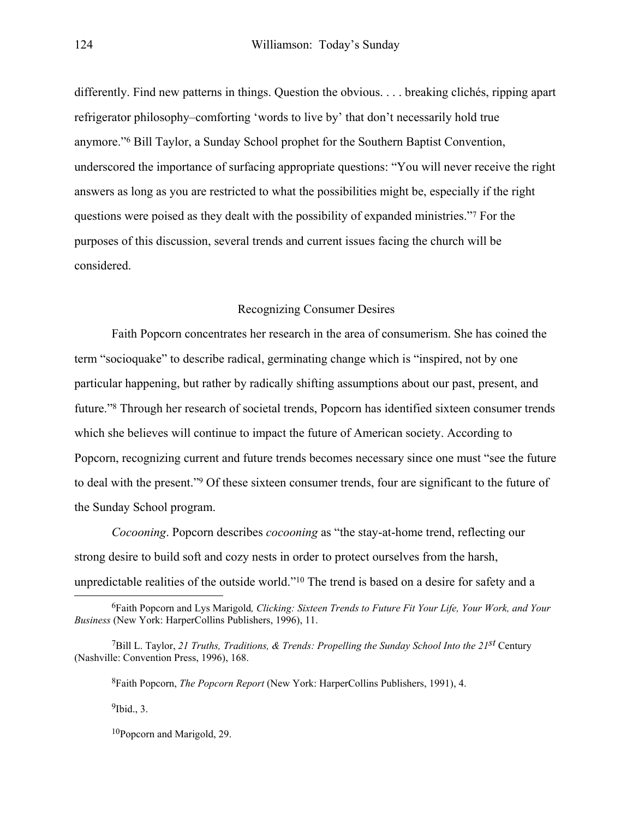differently. Find new patterns in things. Question the obvious. . . . breaking clichés, ripping apart refrigerator philosophy–comforting 'words to live by' that don't necessarily hold true anymore.["6](#page-2-0) Bill Taylor, a Sunday School prophet for the Southern Baptist Convention, underscored the importance of surfacing appropriate questions: "You will never receive the right answers as long as you are restricted to what the possibilities might be, especially if the right questions were poised as they dealt with the possibility of expanded ministries."[7](#page-2-1) For the purposes of this discussion, several trends and current issues facing the church will be considered.

### Recognizing Consumer Desires

 Faith Popcorn concentrates her research in the area of consumerism. She has coined the term "socioquake" to describe radical, germinating change which is "inspired, not by one particular happening, but rather by radically shifting assumptions about our past, present, and future.["8](#page-2-2) Through her research of societal trends, Popcorn has identified sixteen consumer trends which she believes will continue to impact the future of American society. According to Popcorn, recognizing current and future trends becomes necessary since one must "see the future to deal with the present."[9](#page-2-3) Of these sixteen consumer trends, four are significant to the future of the Sunday School program.

*Cocooning*. Popcorn describes *cocooning* as "the stay-at-home trend, reflecting our strong desire to build soft and cozy nests in order to protect ourselves from the harsh, unpredictable realities of the outside world."[10 T](#page-2-4)he trend is based on a desire for safety and a

<span id="page-2-2"></span><span id="page-2-1"></span>8Faith Popcorn, *The Popcorn Report* (New York: HarperCollins Publishers, 1991), 4.

<span id="page-2-3"></span> $9$ Ibid., 3.

<span id="page-2-4"></span>10Popcorn and Marigold, 29.

<span id="page-2-0"></span> <sup>6</sup>Faith Popcorn and Lys Marigold*, Clicking: Sixteen Trends to Future Fit Your Life, Your Work, and Your Business* (New York: HarperCollins Publishers, 1996), 11.

<sup>7</sup>Bill L. Taylor, *21 Truths, Traditions, & Trends: Propelling the Sunday School Into the 21st* Century (Nashville: Convention Press, 1996), 168.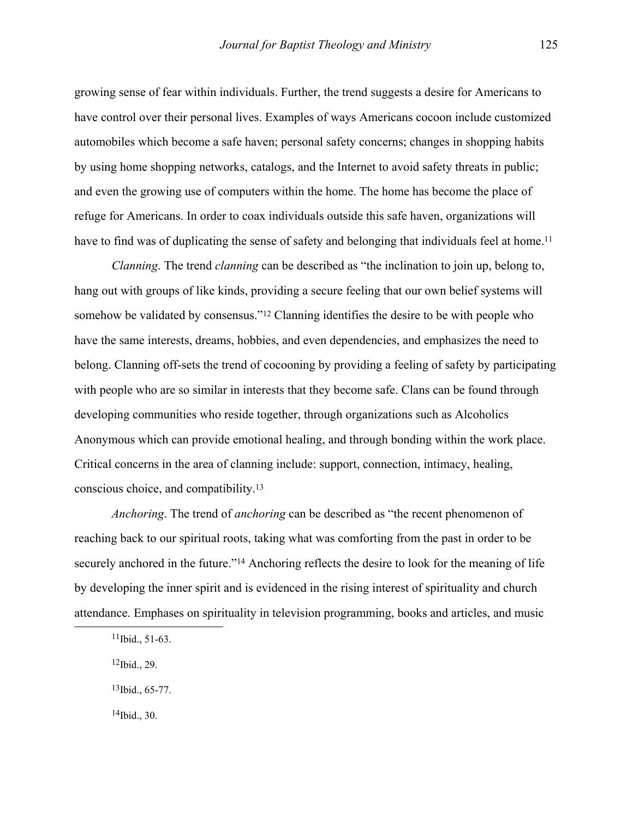growing sense of fear within individuals. Further, the trend suggests a desire for Americans to have control over their personal lives. Examples of ways Americans cocoon include customized automobiles which become a safe haven; personal safety concerns; changes in shopping habits by using home shopping networks, catalogs, and the Internet to avoid safety threats in public; and even the growing use of computers within the home. The home has become the place of refuge for Americans. In order to coax individuals outside this safe haven, organizations will have to find was of duplicating the sense of safety and belonging that individuals feel at home.<sup>[11](#page-3-0)</sup>

*Clanning*. The trend *clanning* can be described as "the inclination to join up, belong to, hang out with groups of like kinds, providing a secure feeling that our own belief systems will somehow be validated by consensus."<sup>12</sup> Clanning identifies the desire to be with people who have the same interests, dreams, hobbies, and even dependencies, and emphasizes the need to belong. Clanning off-sets the trend of cocooning by providing a feeling of safety by participating with people who are so similar in interests that they become safe. Clans can be found through developing communities who reside together, through organizations such as Alcoholics Anonymous which can provide emotional healing, and through bonding within the work place. Critical concerns in the area of clanning include: support, connection, intimacy, healing, conscious choice, and compatibility.[13](#page-3-2)

*Anchoring*. The trend of *anchoring* can be described as "the recent phenomenon of reaching back to our spiritual roots, taking what was comforting from the past in order to be securely anchored in the future."<sup>14</sup> Anchoring reflects the desire to look for the meaning of life by developing the inner spirit and is evidenced in the rising interest of spirituality and church attendance. Emphases on spirituality in television programming, books and articles, and music

<span id="page-3-1"></span>12Ibid., 29.

<span id="page-3-2"></span>13Ibid., 65-77.

<span id="page-3-3"></span> $14$ Ibid., 30.

<span id="page-3-0"></span> $11$ Ibid., 51-63.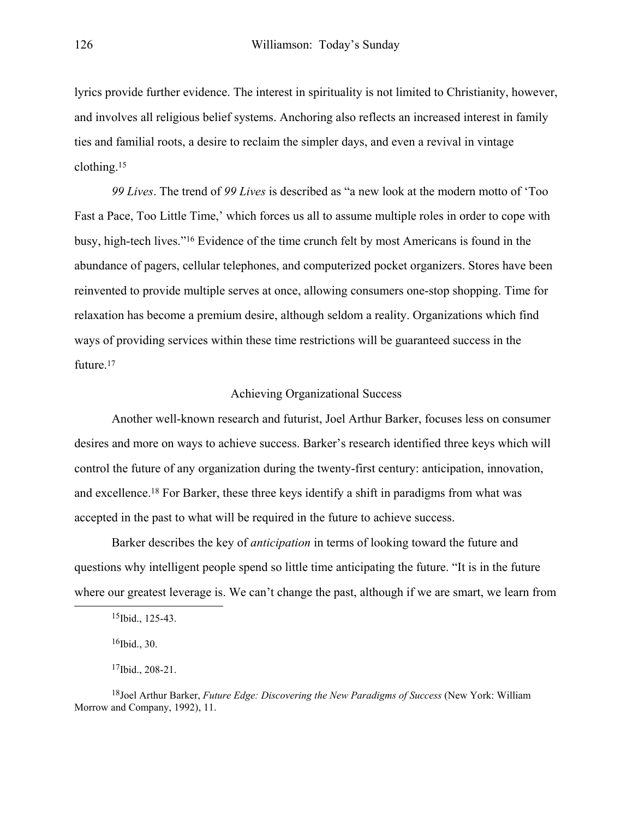lyrics provide further evidence. The interest in spirituality is not limited to Christianity, however, and involves all religious belief systems. Anchoring also reflects an increased interest in family ties and familial roots, a desire to reclaim the simpler days, and even a revival in vintage clothing.[15](#page-4-0)

*99 Lives*. The trend of *99 Lives* is described as "a new look at the modern motto of 'Too Fast a Pace, Too Little Time,' which forces us all to assume multiple roles in order to cope with busy, high-tech lives.["16](#page-4-1) Evidence of the time crunch felt by most Americans is found in the abundance of pagers, cellular telephones, and computerized pocket organizers. Stores have been reinvented to provide multiple serves at once, allowing consumers one-stop shopping. Time for relaxation has become a premium desire, although seldom a reality. Organizations which find ways of providing services within these time restrictions will be guaranteed success in the future.<sup>[17](#page-4-2)</sup>

#### Achieving Organizational Success

 Another well-known research and futurist, Joel Arthur Barker, focuses less on consumer desires and more on ways to achieve success. Barker's research identified three keys which will control the future of any organization during the twenty-first century: anticipation, innovation, and excellence[.18](#page-4-3) For Barker, these three keys identify a shift in paradigms from what was accepted in the past to what will be required in the future to achieve success.

 Barker describes the key of *anticipation* in terms of looking toward the future and questions why intelligent people spend so little time anticipating the future. "It is in the future where our greatest leverage is. We can't change the past, although if we are smart, we learn from

<span id="page-4-0"></span> <sup>15</sup>Ibid., 125-43.

<span id="page-4-1"></span> $16$ Ibid., 30.

<span id="page-4-3"></span><span id="page-4-2"></span><sup>17</sup>Ibid., 208-21.

<sup>18</sup>Joel Arthur Barker, *Future Edge: Discovering the New Paradigms of Success* (New York: William Morrow and Company, 1992), 11.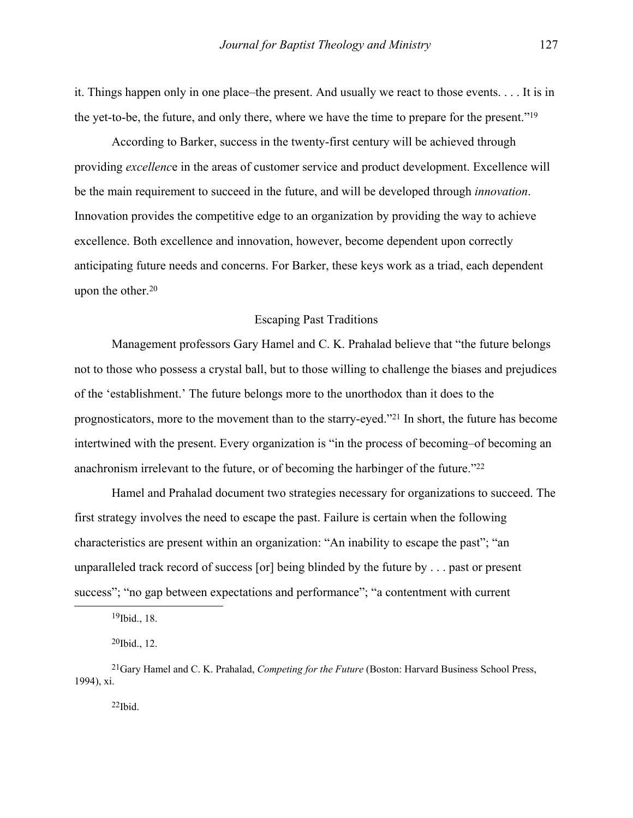it. Things happen only in one place–the present. And usually we react to those events. . . . It is in the yet-to-be, the future, and only there, where we have the time to prepare for the present.["19](#page-5-0)

 According to Barker, success in the twenty-first century will be achieved through providing *excellenc*e in the areas of customer service and product development. Excellence will be the main requirement to succeed in the future, and will be developed through *innovation*. Innovation provides the competitive edge to an organization by providing the way to achieve excellence. Both excellence and innovation, however, become dependent upon correctly anticipating future needs and concerns. For Barker, these keys work as a triad, each dependent upon the other.[20](#page-5-1)

### Escaping Past Traditions

 Management professors Gary Hamel and C. K. Prahalad believe that "the future belongs not to those who possess a crystal ball, but to those willing to challenge the biases and prejudices of the 'establishment.' The future belongs more to the unorthodox than it does to the prognosticators, more to the movement than to the starry-eyed."[21 I](#page-5-2)n short, the future has become intertwined with the present. Every organization is "in the process of becoming–of becoming an anachronism irrelevant to the future, or of becoming the harbinger of the future."[22](#page-5-3)

 Hamel and Prahalad document two strategies necessary for organizations to succeed. The first strategy involves the need to escape the past. Failure is certain when the following characteristics are present within an organization: "An inability to escape the past"; "an unparalleled track record of success [or] being blinded by the future by . . . past or present success"; "no gap between expectations and performance"; "a contentment with current

<span id="page-5-0"></span> <sup>19</sup>Ibid., 18.

<span id="page-5-2"></span><span id="page-5-1"></span> $^{20}$ Ibid., 12.

<span id="page-5-3"></span><sup>21</sup>Gary Hamel and C. K. Prahalad, *Competing for the Future* (Boston: Harvard Business School Press, 1994), xi.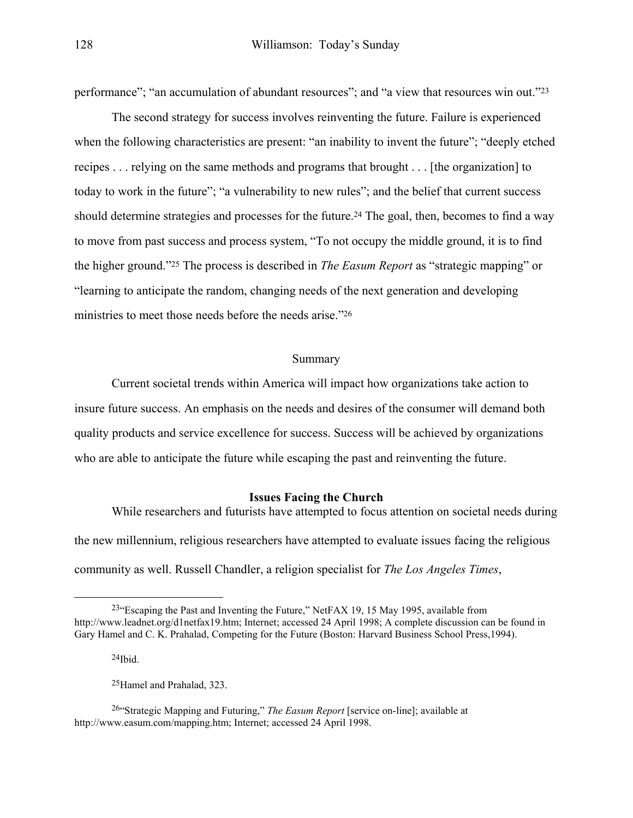performance"; "an accumulation of abundant resources"; and "a view that resources win out."[23](#page-6-0)

 The second strategy for success involves reinventing the future. Failure is experienced when the following characteristics are present: "an inability to invent the future"; "deeply etched recipes . . . relying on the same methods and programs that brought . . . [the organization] to today to work in the future"; "a vulnerability to new rules"; and the belief that current success should determine strategies and processes for the future.<sup>24</sup> The goal, then, becomes to find a way to move from past success and process system, "To not occupy the middle ground, it is to find the higher ground."[25 T](#page-6-2)he process is described in *The Easum Report* as "strategic mapping" or "learning to anticipate the random, changing needs of the next generation and developing ministries to meet those needs before the needs arise.["26](#page-6-3) 

### Summary

 Current societal trends within America will impact how organizations take action to insure future success. An emphasis on the needs and desires of the consumer will demand both quality products and service excellence for success. Success will be achieved by organizations who are able to anticipate the future while escaping the past and reinventing the future.

#### **Issues Facing the Church**

 While researchers and futurists have attempted to focus attention on societal needs during the new millennium, religious researchers have attempted to evaluate issues facing the religious community as well. Russell Chandler, a religion specialist for *The Los Angeles Times*,

<span id="page-6-1"></span> $24$ Ibid.

<span id="page-6-3"></span><span id="page-6-2"></span>25Hamel and Prahalad, 323.

<span id="page-6-0"></span><sup>&</sup>lt;sup>23</sup>"Escaping the Past and Inventing the Future," NetFAX 19, 15 May 1995, available from http://www.leadnet.org/d1netfax19.htm; Internet; accessed 24 April 1998; A complete discussion can be found in Gary Hamel and C. K. Prahalad, Competing for the Future (Boston: Harvard Business School Press,1994).

<sup>26&</sup>quot;Strategic Mapping and Futuring," *The Easum Report* [service on-line]; available at http://www.easum.com/mapping.htm; Internet; accessed 24 April 1998.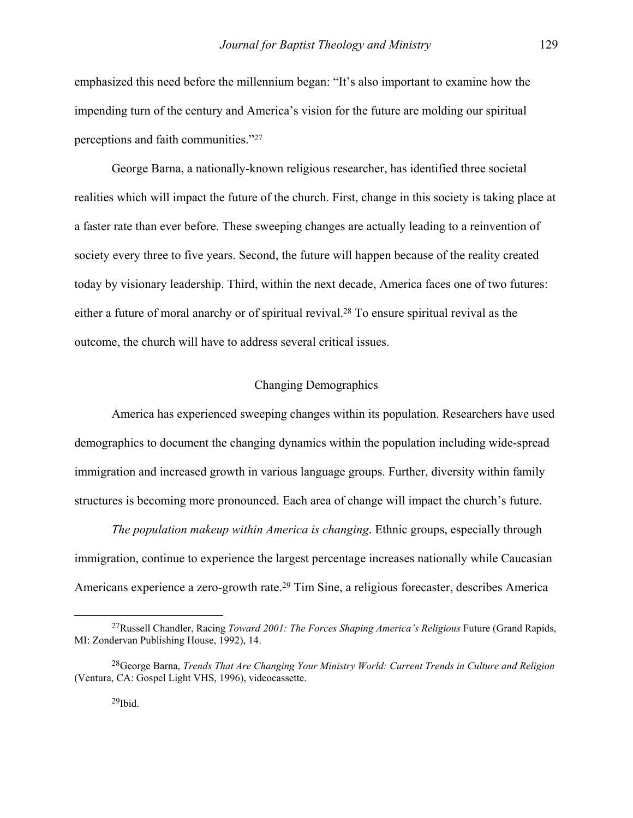emphasized this need before the millennium began: "It's also important to examine how the impending turn of the century and America's vision for the future are molding our spiritual perceptions and faith communities.["27](#page-7-0)

 George Barna, a nationally-known religious researcher, has identified three societal realities which will impact the future of the church. First, change in this society is taking place at a faster rate than ever before. These sweeping changes are actually leading to a reinvention of society every three to five years. Second, the future will happen because of the reality created today by visionary leadership. Third, within the next decade, America faces one of two futures: either a future of moral anarchy or of spiritual revival[.28](#page-7-1) To ensure spiritual revival as the outcome, the church will have to address several critical issues.

#### Changing Demographics

 America has experienced sweeping changes within its population. Researchers have used demographics to document the changing dynamics within the population including wide-spread immigration and increased growth in various language groups. Further, diversity within family structures is becoming more pronounced. Each area of change will impact the church's future.

*The population makeup within America is changing*. Ethnic groups, especially through immigration, continue to experience the largest percentage increases nationally while Caucasian Americans experience a zero-growth rate[.29](#page-7-2) Tim Sine, a religious forecaster, describes America

<span id="page-7-0"></span> <sup>27</sup>Russell Chandler, Racing *Toward 2001: The Forces Shaping America's Religious* Future (Grand Rapids, MI: Zondervan Publishing House, 1992), 14.

<span id="page-7-2"></span><span id="page-7-1"></span><sup>28</sup>George Barna, *Trends That Are Changing Your Ministry World: Current Trends in Culture and Religion*  (Ventura, CA: Gospel Light VHS, 1996), videocassette.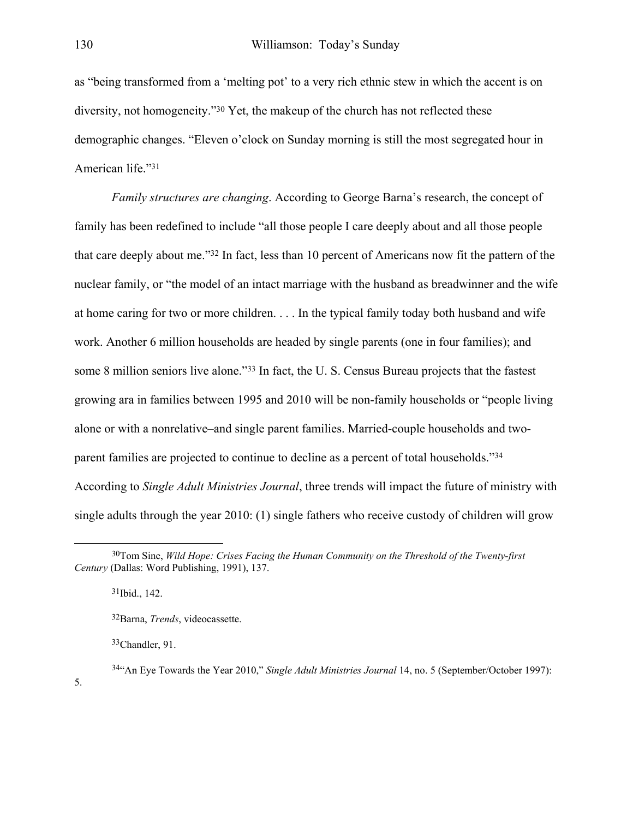as "being transformed from a 'melting pot' to a very rich ethnic stew in which the accent is on diversity, not homogeneity.["30](#page-8-0) Yet, the makeup of the church has not reflected these demographic changes. "Eleven o'clock on Sunday morning is still the most segregated hour in American life."[31](#page-8-1)

*Family structures are changing*. According to George Barna's research, the concept of family has been redefined to include "all those people I care deeply about and all those people that care deeply about me."[32 I](#page-8-2)n fact, less than 10 percent of Americans now fit the pattern of the nuclear family, or "the model of an intact marriage with the husband as breadwinner and the wife at home caring for two or more children. . . . In the typical family today both husband and wife work. Another 6 million households are headed by single parents (one in four families); and some 8 million seniors live alone.["33](#page-8-3) In fact, the U. S. Census Bureau projects that the fastest growing ara in families between 1995 and 2010 will be non-family households or "people living alone or with a nonrelative–and single parent families. Married-couple households and twoparent families are projected to continue to decline as a percent of total households."[34](#page-8-4) According to *Single Adult Ministries Journal*, three trends will impact the future of ministry with single adults through the year 2010: (1) single fathers who receive custody of children will grow

<span id="page-8-1"></span><span id="page-8-0"></span> $31$ Ibid., 142.

<span id="page-8-4"></span><span id="page-8-3"></span>33Chandler, 91.

 <sup>30</sup>Tom Sine, *Wild Hope: Crises Facing the Human Community on the Threshold of the Twenty-first Century* (Dallas: Word Publishing, 1991), 137.

<span id="page-8-2"></span><sup>32</sup>Barna, *Trends*, videocassette.

<sup>34&</sup>quot;An Eye Towards the Year 2010," *Single Adult Ministries Journal* 14, no. 5 (September/October 1997): 5.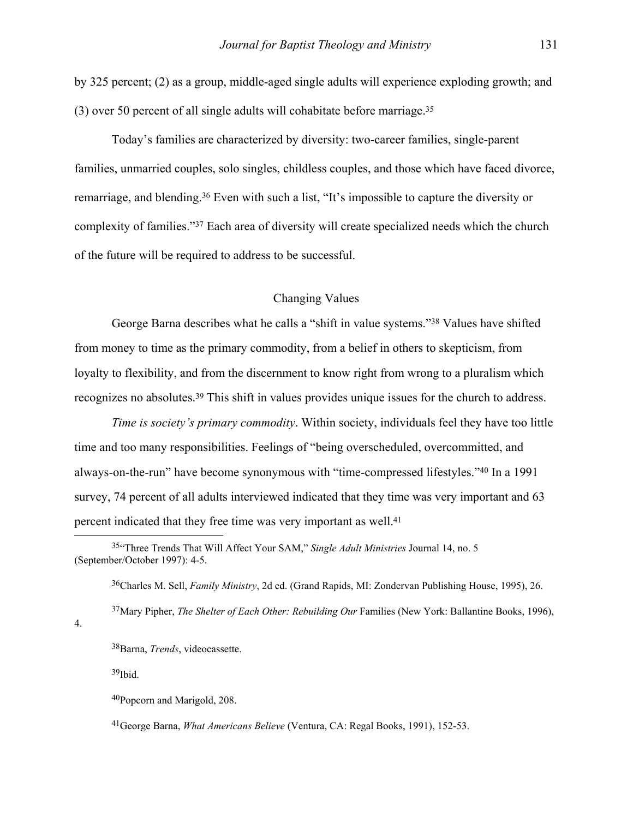by 325 percent; (2) as a group, middle-aged single adults will experience exploding growth; and (3) over 50 percent of all single adults will cohabitate before marriage.[35](#page-9-0)

 Today's families are characterized by diversity: two-career families, single-parent families, unmarried couples, solo singles, childless couples, and those which have faced divorce, remarriage, and blending.[36 E](#page-9-1)ven with such a list, "It's impossible to capture the diversity or complexity of families."[37 E](#page-9-2)ach area of diversity will create specialized needs which the church of the future will be required to address to be successful.

#### Changing Values

 George Barna describes what he calls a "shift in value systems.["38](#page-9-3) Values have shifted from money to time as the primary commodity, from a belief in others to skepticism, from loyalty to flexibility, and from the discernment to know right from wrong to a pluralism which recognizes no absolutes[.39](#page-9-4) This shift in values provides unique issues for the church to address.

*Time is society's primary commodity*. Within society, individuals feel they have too little time and too many responsibilities. Feelings of "being overscheduled, overcommitted, and always-on-the-run" have become synonymous with "time-compressed lifestyles.["40](#page-9-5) In a 1991 survey, 74 percent of all adults interviewed indicated that they time was very important and 63 percent indicated that they free time was very important as well.[41](#page-9-6)

<span id="page-9-1"></span><span id="page-9-0"></span>36Charles M. Sell, *Family Ministry*, 2d ed. (Grand Rapids, MI: Zondervan Publishing House, 1995), 26.

<span id="page-9-2"></span>37Mary Pipher, *The Shelter of Each Other: Rebuilding Our* Families (New York: Ballantine Books, 1996),

4.

<span id="page-9-3"></span>38Barna, *Trends*, videocassette.

<span id="page-9-4"></span>39Ibid.

 <sup>35&</sup>quot;Three Trends That Will Affect Your SAM," *Single Adult Ministries* Journal 14, no. 5 (September/October 1997): 4-5.

<span id="page-9-5"></span><sup>40</sup>Popcorn and Marigold, 208.

<span id="page-9-6"></span><sup>41</sup>George Barna, *What Americans Believe* (Ventura, CA: Regal Books, 1991), 152-53.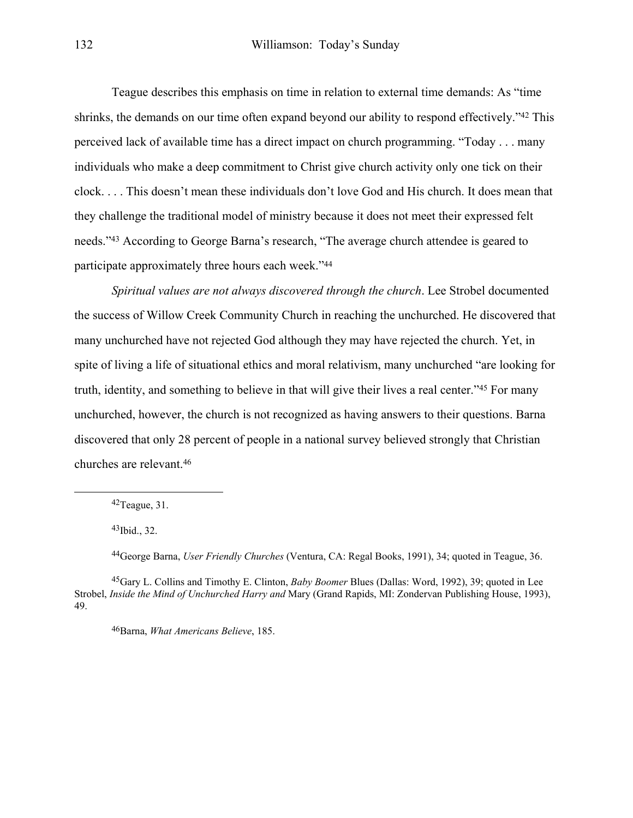Teague describes this emphasis on time in relation to external time demands: As "time shrinks, the demands on our time often expand beyond our ability to respond effectively."<sup>42</sup> This perceived lack of available time has a direct impact on church programming. "Today . . . many individuals who make a deep commitment to Christ give church activity only one tick on their clock. . . . This doesn't mean these individuals don't love God and His church. It does mean that they challenge the traditional model of ministry because it does not meet their expressed felt needs."[43 A](#page-10-1)ccording to George Barna's research, "The average church attendee is geared to participate approximately three hours each week."[44](#page-10-2)

*Spiritual values are not always discovered through the church*. Lee Strobel documented the success of Willow Creek Community Church in reaching the unchurched. He discovered that many unchurched have not rejected God although they may have rejected the church. Yet, in spite of living a life of situational ethics and moral relativism, many unchurched "are looking for truth, identity, and something to believe in that will give their lives a real center."[45 F](#page-10-3)or many unchurched, however, the church is not recognized as having answers to their questions. Barna discovered that only 28 percent of people in a national survey believed strongly that Christian churches are relevant[.46](#page-10-4)

<span id="page-10-3"></span><span id="page-10-2"></span>44George Barna, *User Friendly Churches* (Ventura, CA: Regal Books, 1991), 34; quoted in Teague, 36.

45Gary L. Collins and Timothy E. Clinton, *Baby Boomer* Blues (Dallas: Word, 1992), 39; quoted in Lee Strobel, *Inside the Mind of Unchurched Harry and* Mary (Grand Rapids, MI: Zondervan Publishing House, 1993), 49.

<span id="page-10-4"></span>46Barna, *What Americans Believe*, 185.

<span id="page-10-0"></span> $42$ Teague, 31.

<span id="page-10-1"></span> $43$ Ibid.,  $32$ .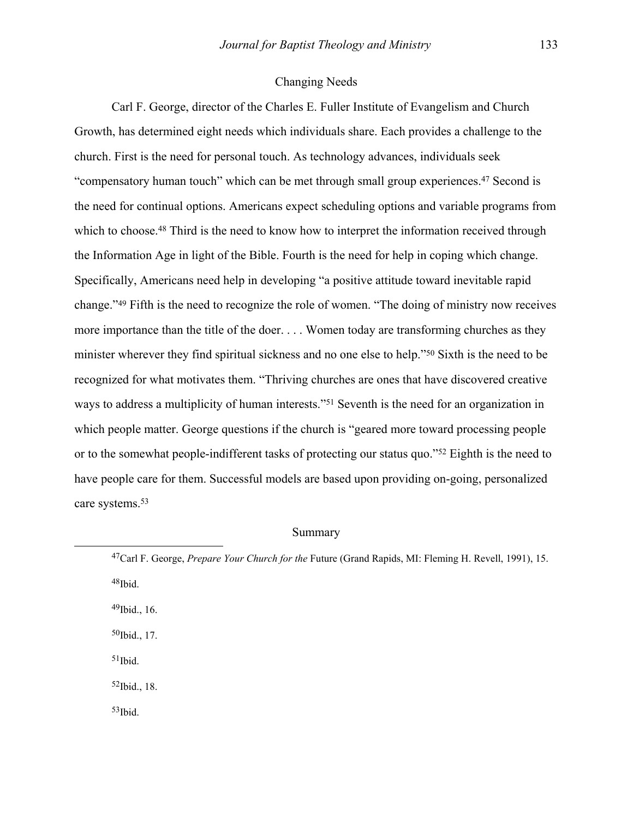### Changing Needs

 Carl F. George, director of the Charles E. Fuller Institute of Evangelism and Church Growth, has determined eight needs which individuals share. Each provides a challenge to the church. First is the need for personal touch. As technology advances, individuals seek "compensatory human touch" which can be met through small group experiences.[47 S](#page-11-0)econd is the need for continual options. Americans expect scheduling options and variable programs from which to choose.<sup>48</sup> Third is the need to know how to interpret the information received through the Information Age in light of the Bible. Fourth is the need for help in coping which change. Specifically, Americans need help in developing "a positive attitude toward inevitable rapid change.["49](#page-11-2) Fifth is the need to recognize the role of women. "The doing of ministry now receives more importance than the title of the doer. . . . Women today are transforming churches as they minister wherever they find spiritual sickness and no one else to help."[50 S](#page-11-3)ixth is the need to be recognized for what motivates them. "Thriving churches are ones that have discovered creative ways to address a multiplicity of human interests."[51 S](#page-11-4)eventh is the need for an organization in which people matter. George questions if the church is "geared more toward processing people or to the somewhat people-indifferent tasks of protecting our status quo.["52](#page-11-5) Eighth is the need to have people care for them. Successful models are based upon providing on-going, personalized care systems[.53](#page-11-6)

#### Summary

<span id="page-11-6"></span><span id="page-11-5"></span><span id="page-11-4"></span><span id="page-11-3"></span><span id="page-11-2"></span><span id="page-11-1"></span><span id="page-11-0"></span> <sup>47</sup>Carl F. George, *Prepare Your Church for the* Future (Grand Rapids, MI: Fleming H. Revell, 1991), 15. 48Ibid. 49Ibid., 16.  $50$ Ibid., 17.  $51$ Ibid. 52Ibid., 18. 53Ibid.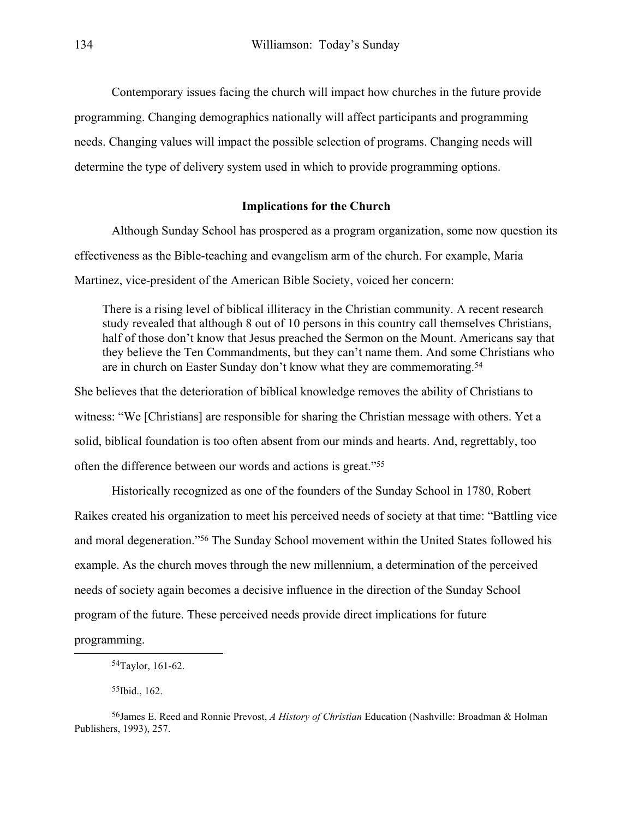Contemporary issues facing the church will impact how churches in the future provide programming. Changing demographics nationally will affect participants and programming needs. Changing values will impact the possible selection of programs. Changing needs will determine the type of delivery system used in which to provide programming options.

# **Implications for the Church**

 Although Sunday School has prospered as a program organization, some now question its effectiveness as the Bible-teaching and evangelism arm of the church. For example, Maria Martinez, vice-president of the American Bible Society, voiced her concern:

There is a rising level of biblical illiteracy in the Christian community. A recent research study revealed that although 8 out of 10 persons in this country call themselves Christians, half of those don't know that Jesus preached the Sermon on the Mount. Americans say that they believe the Ten Commandments, but they can't name them. And some Christians who are in church on Easter Sunday don't know what they are commemorating[.54](#page-12-0) 

She believes that the deterioration of biblical knowledge removes the ability of Christians to witness: "We [Christians] are responsible for sharing the Christian message with others. Yet a solid, biblical foundation is too often absent from our minds and hearts. And, regrettably, too often the difference between our words and actions is great."[55](#page-12-1)

 Historically recognized as one of the founders of the Sunday School in 1780, Robert Raikes created his organization to meet his perceived needs of society at that time: "Battling vice and moral degeneration."[56 T](#page-12-2)he Sunday School movement within the United States followed his example. As the church moves through the new millennium, a determination of the perceived needs of society again becomes a decisive influence in the direction of the Sunday School program of the future. These perceived needs provide direct implications for future

programming.

<span id="page-12-2"></span><span id="page-12-1"></span>55Ibid., 162.

<span id="page-12-0"></span> <sup>54</sup>Taylor, 161-62.

<sup>56</sup>James E. Reed and Ronnie Prevost, *A History of Christian* Education (Nashville: Broadman & Holman Publishers, 1993), 257.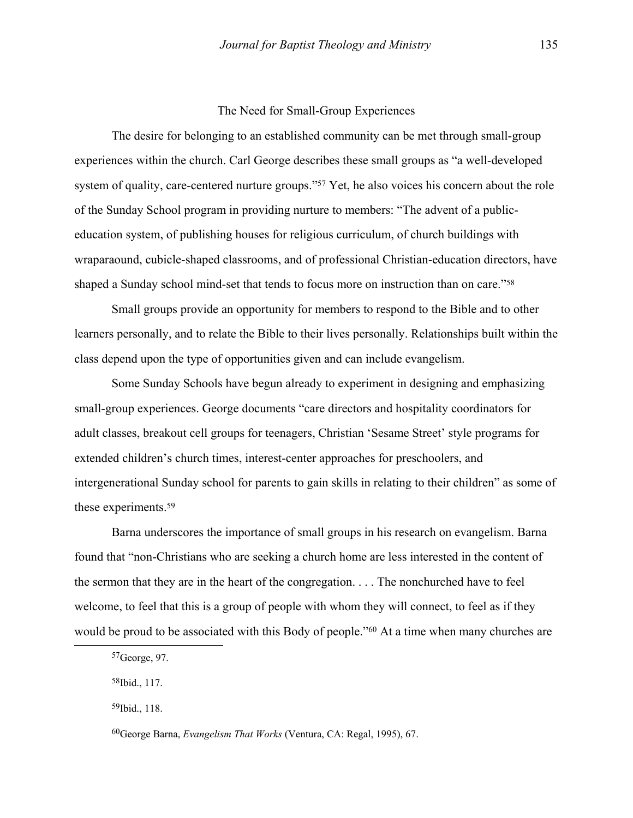#### The Need for Small-Group Experiences

<span id="page-13-3"></span> The desire for belonging to an established community can be met through small-group experiences within the church. Carl George describes these small groups as "a well-developed system of quality, care-centered nurture groups."<sup>57</sup> Yet, he also voices his concern about the role of the Sunday School program in providing nurture to members: "The advent of a publiceducation system, of publishing houses for religious curriculum, of church buildings with wraparaound, cubicle-shaped classrooms, and of professional Christian-education directors, have shaped a Sunday school mind-set that tends to focus more on instruction than on care."[58](#page-13-1)

 Small groups provide an opportunity for members to respond to the Bible and to other learners personally, and to relate the Bible to their lives personally. Relationships built within the class depend upon the type of opportunities given and can include evangelism.

 Some Sunday Schools have begun already to experiment in designing and emphasizing small-group experiences. George documents "care directors and hospitality coordinators for adult classes, breakout cell groups for teenagers, Christian 'Sesame Street' style programs for extended children's church times, interest-center approaches for preschoolers, and intergenerational Sunday school for parents to gain skills in relating to their children" as some of these experiments[.59](#page-13-2) 

 Barna underscores the importance of small groups in his research on evangelism. Barna found that "non-Christians who are seeking a church home are less interested in the content of the sermon that they are in the heart of the congregation. . . . The nonchurched have to feel welcome, to feel that this is a group of people with whom they will connect, to feel as if they would be proud to be associated with this Body of people."<sup>60</sup> At a time when many churches are

<span id="page-13-0"></span> <sup>57</sup>George, 97.

<span id="page-13-1"></span><sup>58</sup>Ibid., 117.

<span id="page-13-2"></span><sup>59</sup>Ibid., 118.

<sup>60</sup>George Barna, *Evangelism That Works* (Ventura, CA: Regal, 1995), 67.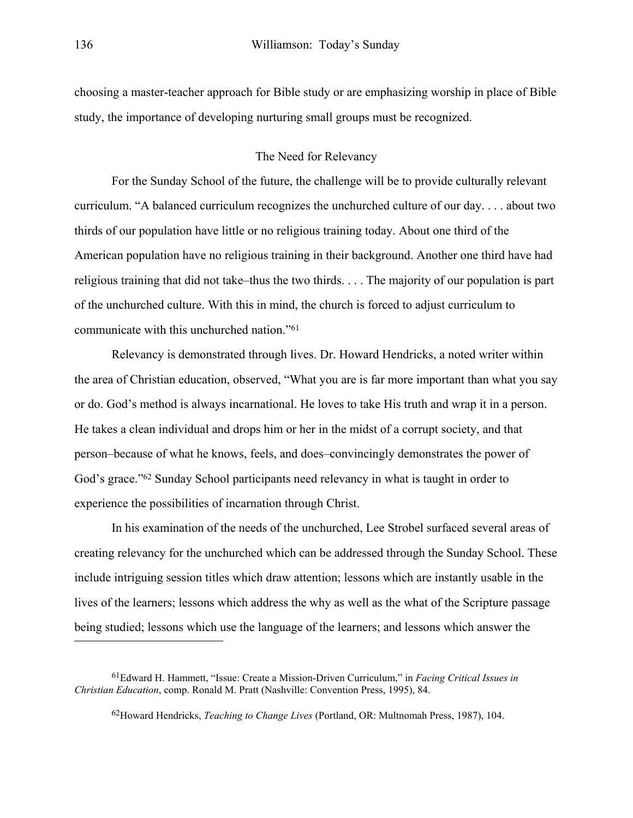choosing a master-teacher approach for Bible study or are emphasizing worship in place of Bible study, the importance of developing nurturing small groups must be recognized.

## The Need for Relevancy

For the Sunday School of the future, the challenge will be to provide culturally relevant curriculum. "A balanced curriculum recognizes the unchurched culture of our day. . . . about two thirds of our population have little or no religious training today. About one third of the American population have no religious training in their background. Another one third have had religious training that did not take–thus the two thirds. . . . The majority of our population is part of the unchurched culture. With this in mind, the church is forced to adjust curriculum to communicate with this unchurched nation."[61](#page-14-0)

 Relevancy is demonstrated through lives. Dr. Howard Hendricks, a noted writer within the area of Christian education, observed, "What you are is far more important than what you say or do. God's method is always incarnational. He loves to take His truth and wrap it in a person. He takes a clean individual and drops him or her in the midst of a corrupt society, and that person–because of what he knows, feels, and does–convincingly demonstrates the power of God's grace."[62 S](#page-14-1)unday School participants need relevancy in what is taught in order to experience the possibilities of incarnation through Christ.

 In his examination of the needs of the unchurched, Lee Strobel surfaced several areas of creating relevancy for the unchurched which can be addressed through the Sunday School. These include intriguing session titles which draw attention; lessons which are instantly usable in the lives of the learners; lessons which address the why as well as the what of the Scripture passage being studied; lessons which use the language of the learners; and lessons which answer the

 $\overline{a}$ 

<sup>61</sup>Edward H. Hammett, "Issue: Create a Mission-Driven Curriculum," in *Facing Critical Issues in Christian Education*, comp. Ronald M. Pratt (Nashville: Convention Press, 1995), 84.

<span id="page-14-1"></span><span id="page-14-0"></span><sup>62</sup>Howard Hendricks, *Teaching to Change Lives* (Portland, OR: Multnomah Press, 1987), 104.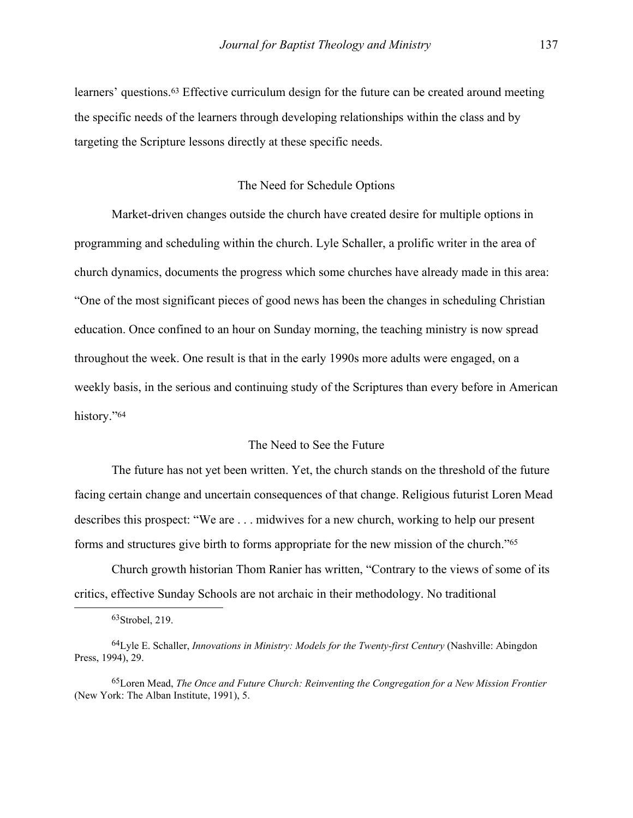learners' questions.[63 E](#page-15-0)ffective curriculum design for the future can be created around meeting the specific needs of the learners through developing relationships within the class and by targeting the Scripture lessons directly at these specific needs.

### The Need for Schedule Options

 Market-driven changes outside the church have created desire for multiple options in programming and scheduling within the church. Lyle Schaller, a prolific writer in the area of church dynamics, documents the progress which some churches have already made in this area: "One of the most significant pieces of good news has been the changes in scheduling Christian education. Once confined to an hour on Sunday morning, the teaching ministry is now spread throughout the week. One result is that in the early 1990s more adults were engaged, on a weekly basis, in the serious and continuing study of the Scriptures than every before in American history."<sup>[64](#page-15-1)</sup>

# The Need to See the Future

 The future has not yet been written. Yet, the church stands on the threshold of the future facing certain change and uncertain consequences of that change. Religious futurist Loren Mead describes this prospect: "We are . . . midwives for a new church, working to help our present forms and structures give birth to forms appropriate for the new mission of the church."[65](#page-15-2)

 Church growth historian Thom Ranier has written, "Contrary to the views of some of its critics, effective Sunday Schools are not archaic in their methodology. No traditional

<span id="page-15-1"></span><span id="page-15-0"></span> <sup>63</sup>Strobel, 219.

<sup>64</sup>Lyle E. Schaller, *Innovations in Ministry: Models for the Twenty-first Century* (Nashville: Abingdon Press, 1994), 29.

<span id="page-15-2"></span><sup>65</sup>Loren Mead, *The Once and Future Church: Reinventing the Congregation for a New Mission Frontier* (New York: The Alban Institute, 1991), 5.